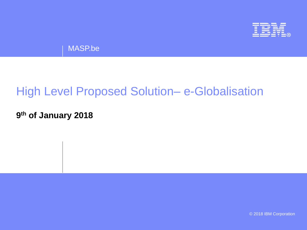

MASP.be

## High Level Proposed Solution– e-Globalisation

**9 th of January 2018**

© 2018 IBM Corporation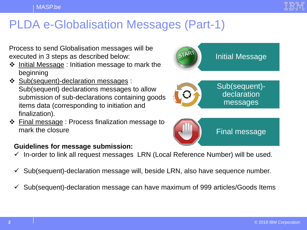

## PLDA e-Globalisation Messages (Part-1)

Process to send Globalisation messages will be executed in 3 steps as described below:

- $\div$  Initial Message : Initiation message to mark the beginning
- ❖ Sub(sequent)-declaration messages : Sub(sequent) declarations messages to allow submission of sub-declarations containing goods items data (corresponding to initiation and finalization).
- $\div$  Final message : Process finalization message to mark the closure

#### **Guidelines for message submission:**

- $\checkmark$  In-order to link all request messages LRN (Local Reference Number) will be used.
- $\checkmark$  Sub(sequent)-declaration message will, beside LRN, also have sequence number.
- $\checkmark$  Sub(sequent)-declaration message can have maximum of 999 articles/Goods Items



Final message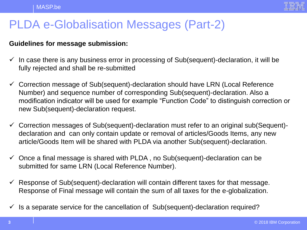

# PLDA e-Globalisation Messages (Part-2)

#### **Guidelines for message submission:**

- $\checkmark$  In case there is any business error in processing of Sub(sequent)-declaration, it will be fully rejected and shall be re-submitted
- $\checkmark$  Correction message of Sub(sequent)-declaration should have LRN (Local Reference Number) and sequence number of corresponding Sub(sequent)-declaration. Also a modification indicator will be used for example "Function Code" to distinguish correction or new Sub(sequent)-declaration request.
- $\checkmark$  Correction messages of Sub(sequent)-declaration must refer to an original sub(Sequent)declaration and can only contain update or removal of articles/Goods Items, any new article/Goods Item will be shared with PLDA via another Sub(sequent)-declaration.
- $\checkmark$  Once a final message is shared with PLDA, no Sub(sequent)-declaration can be submitted for same LRN (Local Reference Number).
- $\checkmark$  Response of Sub(sequent)-declaration will contain different taxes for that message. Response of Final message will contain the sum of all taxes for the e-globalization.
- $\checkmark$  Is a separate service for the cancellation of Sub(sequent)-declaration required?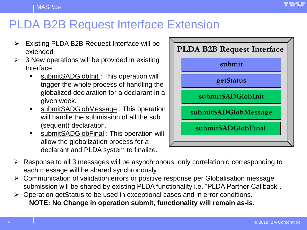

### PLDA B2B Request Interface Extension

- $\triangleright$  Existing PLDA B2B Request Interface will be extended
- $\geq$  3 New operations will be provided in existing Interface
	- **SubmitSADGlobInit: This operation will** trigger the whole process of handling the globalized declaration for a declarant in a given week.
	- **SubmitSADGlobMessage: This operation** will handle the submission of all the sub (sequent) declaration.
	- submitSADGlobFinal : This operation will allow the globalization process for a declarant and PLDA system to finalize.



- $\triangleright$  Response to all 3 messages will be asynchronous, only correlationId corresponding to each message will be shared synchronously.
- Communication of validation errors or positive response per Globalisation message submission will be shared by existing PLDA functionality i.e. "PLDA Partner Callback".
- Operation getStatus to be used in exceptional cases and in error conditions. **NOTE: No Change in operation submit, functionality will remain as-is.**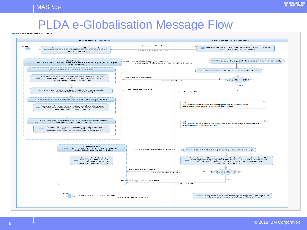## PLDA e-Globalisation Message Flow

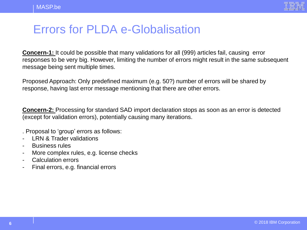

### Errors for PLDA e-Globalisation

**Concern-1:** It could be possible that many validations for all (999) articles fail, causing error responses to be very big. However, limiting the number of errors might result in the same subsequent message being sent multiple times.

Proposed Approach: Only predefined maximum (e.g. 50?) number of errors will be shared by response, having last error message mentioning that there are other errors.

**Concern-2:** Processing for standard SAD import declaration stops as soon as an error is detected (except for validation errors), potentially causing many iterations.

. Proposal to 'group' errors as follows:

- LRN & Trader validations
- Business rules
- More complex rules, e.g. license checks
- Calculation errors
- Final errors, e.g. financial errors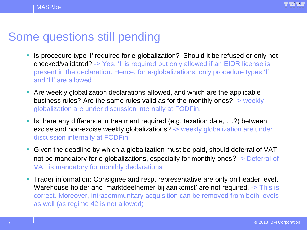

### Some questions still pending

- I Is procedure type 'I' required for e-globalization? Should it be refused or only not checked/validated? -> Yes, 'I' is required but only allowed if an EIDR license is present in the declaration. Hence, for e-globalizations, only procedure types 'I' and 'H' are allowed.
- Are weekly globalization declarations allowed, and which are the applicable business rules? Are the same rules valid as for the monthly ones? -> weekly globalization are under discussion internally at FODFin.
- If is there any difference in treatment required (e.g. taxation date,  $\ldots$ ?) between excise and non-excise weekly globalizations? -> weekly globalization are under discussion internally at FODFin.
- Given the deadline by which a globalization must be paid, should deferral of VAT not be mandatory for e-globalizations, especially for monthly ones? -> Deferral of VAT is mandatory for monthly declarations
- **Trader information: Consignee and resp. representative are only on header level.** Warehouse holder and 'marktdeelnemer bij aankomst' are not required. -> This is correct. Moreover, intracommunitary acquisition can be removed from both levels as well (as regime 42 is not allowed)